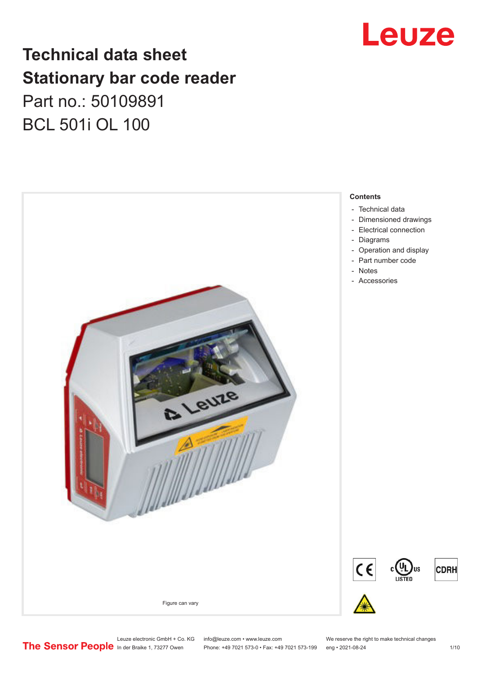

## **Technical data sheet Stationary bar code reader** Part no.: 50109891 BCL 501i OL 100



Leuze electronic GmbH + Co. KG info@leuze.com • www.leuze.com We reserve the right to make technical changes<br>
The Sensor People in der Braike 1, 73277 Owen Phone: +49 7021 573-0 • Fax: +49 7021 573-199 eng • 2021-08-24 Phone: +49 7021 573-0 • Fax: +49 7021 573-199 eng • 2021-08-24 1 1 10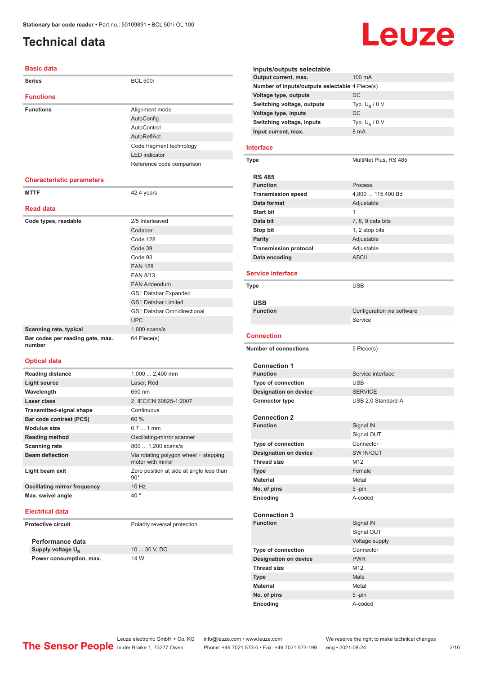## <span id="page-1-0"></span>**Technical data**

#### **Basic data**

| <b>Series</b>                              | <b>BCL 500i</b>                    |  |
|--------------------------------------------|------------------------------------|--|
| <b>Functions</b>                           |                                    |  |
| <b>Functions</b>                           | Alignment mode                     |  |
|                                            | AutoConfig                         |  |
|                                            | AutoControl                        |  |
|                                            | AutoReflAct                        |  |
|                                            | Code fragment technology           |  |
|                                            | <b>LED</b> indicator               |  |
|                                            | Reference code comparison          |  |
| <b>Characteristic parameters</b>           |                                    |  |
| <b>MTTF</b>                                | 42.4 years                         |  |
| <b>Read data</b>                           |                                    |  |
| Code types, readable                       | 2/5 Interleaved                    |  |
|                                            | Codabar                            |  |
|                                            | Code 128                           |  |
|                                            | Code 39                            |  |
|                                            | Code 93                            |  |
|                                            | <b>EAN 128</b>                     |  |
|                                            | <b>EAN 8/13</b>                    |  |
|                                            | <b>EAN Addendum</b>                |  |
|                                            | GS1 Databar Expanded               |  |
|                                            | <b>GS1 Databar Limited</b>         |  |
|                                            | <b>GS1 Databar Omnidirectional</b> |  |
|                                            | <b>UPC</b>                         |  |
| Scanning rate, typical                     | $1,000$ scans/s                    |  |
| Bar codes per reading gate, max.<br>number | 64 Piece(s)                        |  |
| <b>Optical data</b>                        |                                    |  |
|                                            |                                    |  |

| <b>Reading distance</b>      | $1,000$ 2,400 mm                                           |
|------------------------------|------------------------------------------------------------|
| Light source                 | Laser, Red                                                 |
| Wavelength                   | 650 nm                                                     |
| Laser class                  | 2, IEC/EN 60825-1:2007                                     |
| Transmitted-signal shape     | Continuous                                                 |
| Bar code contrast (PCS)      | 60%                                                        |
| <b>Modulus size</b>          | $0.71$ mm                                                  |
| <b>Reading method</b>        | Oscillating-mirror scanner                                 |
| <b>Scanning rate</b>         | 800  1,200 scans/s                                         |
| <b>Beam deflection</b>       | Via rotating polygon wheel + stepping<br>motor with mirror |
| Light beam exit              | Zero position at side at angle less than<br>$90^\circ$     |
| Oscillating mirror frequency | 10 Hz                                                      |
| Max. swivel angle            | $40^{\circ}$                                               |

#### **Electrical data**

**Protective circuit** Polarity reversal protection

**Performance data** Supply voltage U<sub>B</sub> **Power consumption, max.** 14 W

10 ... 30 V, DC

## Leuze

|                  | Inputs/outputs selectable                      | 100 mA                     |  |
|------------------|------------------------------------------------|----------------------------|--|
|                  | Output current, max.                           |                            |  |
|                  | Number of inputs/outputs selectable 4 Piece(s) |                            |  |
|                  | Voltage type, outputs                          | DC                         |  |
|                  | Switching voltage, outputs                     | Typ. $U_R / 0 V$           |  |
|                  | Voltage type, inputs                           | DC                         |  |
|                  | Switching voltage, inputs                      | Typ. $U_B / 0 V$           |  |
|                  | Input current, max.                            | 8 mA                       |  |
|                  |                                                |                            |  |
| Interface        |                                                |                            |  |
| Type             |                                                | MultiNet Plus, RS 485      |  |
|                  |                                                |                            |  |
| <b>RS 485</b>    |                                                |                            |  |
| <b>Function</b>  |                                                | Process                    |  |
|                  | <b>Transmission speed</b>                      | 4,800  115,400 Bd          |  |
|                  | Data format                                    | Adjustable                 |  |
| <b>Start bit</b> |                                                | 1                          |  |
| Data bit         |                                                | 7, 8, 9 data bits          |  |
|                  |                                                |                            |  |
| Stop bit         |                                                | 1, 2 stop bits             |  |
| <b>Parity</b>    |                                                | Adjustable                 |  |
|                  | <b>Transmission protocol</b>                   | Adjustable                 |  |
|                  | Data encoding                                  | <b>ASCII</b>               |  |
|                  | <b>Service interface</b>                       |                            |  |
|                  |                                                |                            |  |
| Type             |                                                | <b>USB</b>                 |  |
|                  |                                                |                            |  |
| <b>USB</b>       |                                                |                            |  |
| <b>Function</b>  |                                                | Configuration via software |  |
|                  |                                                | Service                    |  |
|                  |                                                |                            |  |
|                  |                                                |                            |  |
| Connection       |                                                |                            |  |
|                  | <b>Number of connections</b>                   | 5 Piece(s)                 |  |
|                  |                                                |                            |  |
|                  | <b>Connection 1</b>                            |                            |  |
| <b>Function</b>  |                                                | Service interface          |  |
|                  | <b>Type of connection</b>                      | <b>USB</b>                 |  |
|                  | <b>Designation on device</b>                   | <b>SERVICE</b>             |  |
|                  | <b>Connector type</b>                          | USB 2.0 Standard-A         |  |
|                  |                                                |                            |  |
|                  | <b>Connection 2</b>                            |                            |  |
| <b>Function</b>  |                                                | Signal IN                  |  |
|                  |                                                | Signal OUT                 |  |
|                  | Type of connection                             | Connector                  |  |
|                  | <b>Designation on device</b>                   | SW IN/OUT                  |  |
|                  | <b>Thread size</b>                             | M12                        |  |
|                  |                                                | Female                     |  |
| <b>Type</b>      |                                                |                            |  |
| <b>Material</b>  |                                                | Metal                      |  |
|                  | No. of pins                                    | 5-pin                      |  |
| Encoding         |                                                | A-coded                    |  |
|                  |                                                |                            |  |
| <b>Function</b>  | <b>Connection 3</b>                            |                            |  |
|                  |                                                | Signal IN                  |  |
|                  |                                                | Signal OUT                 |  |
|                  |                                                | Voltage supply             |  |
|                  | Type of connection                             | Connector                  |  |
|                  | <b>Designation on device</b>                   | <b>PWR</b>                 |  |
|                  | <b>Thread size</b>                             | M12                        |  |
| <b>Type</b>      |                                                | Male                       |  |
| <b>Material</b>  |                                                | Metal                      |  |
|                  | No. of pins                                    | $5 - pin$                  |  |

Leuze electronic GmbH + Co. KG info@leuze.com • www.leuze.com We reserve the right to make technical changes In der Braike 1, 73277 Owen Phone: +49 7021 573-0 • Fax: +49 7021 573-199 eng • 2021-08-24 2 /10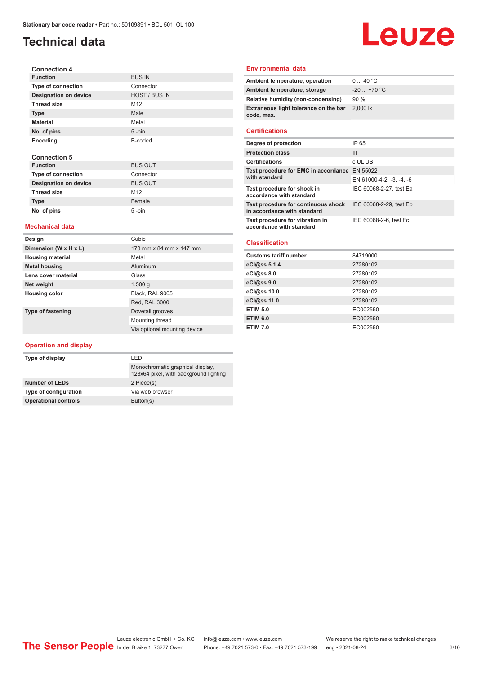## **Technical data**

### **Connection 4 Function** BUS IN<br>Type of connection Connector **Type of connection Designation on device** HOST / BUS IN **Thread size** M12 **Type** Male **Material** Metal **No. of pins** 5 -pin **Encoding** B-coded **Connection 5 Function** BUS OUT **Type of connection** Connector **Designation on device** BUS OUT

#### **Mechanical data**

Thread size M12 **Type Female No. of pins** 5 -pin

| Design                   | Cubic                        |
|--------------------------|------------------------------|
| Dimension (W x H x L)    | 173 mm x 84 mm x 147 mm      |
| <b>Housing material</b>  | Metal                        |
| <b>Metal housing</b>     | Aluminum                     |
| Lens cover material      | Glass                        |
| Net weight               | 1,500q                       |
| <b>Housing color</b>     | Black. RAL 9005              |
|                          | Red, RAL 3000                |
| <b>Type of fastening</b> | Dovetail grooves             |
|                          | Mounting thread              |
|                          | Via optional mounting device |

### **Operation and display**

| Type of display             | I FD                                                                       |  |
|-----------------------------|----------------------------------------------------------------------------|--|
|                             | Monochromatic graphical display,<br>128x64 pixel, with background lighting |  |
| <b>Number of LEDs</b>       | 2 Piece(s)                                                                 |  |
| Type of configuration       | Via web browser                                                            |  |
| <b>Operational controls</b> | Button(s)                                                                  |  |

#### **Environmental data**

| Ambient temperature, operation                      | 040 °C       |
|-----------------------------------------------------|--------------|
| Ambient temperature, storage                        | $-20$ +70 °C |
| Relative humidity (non-condensing)                  | 90%          |
| Extraneous light tolerance on the bar<br>code, max. | 2.000 lx     |
|                                                     |              |

Leuze

### **Certifications**

| Degree of protection                                               | IP 65                    |
|--------------------------------------------------------------------|--------------------------|
| <b>Protection class</b>                                            | Ш                        |
| <b>Certifications</b>                                              | c UL US                  |
| Test procedure for EMC in accordance EN 55022<br>with standard     |                          |
|                                                                    | EN 61000-4-2, -3, -4, -6 |
| Test procedure for shock in<br>accordance with standard            | IEC 60068-2-27, test Ea  |
| Test procedure for continuous shock<br>in accordance with standard | IEC 60068-2-29, test Eb  |
| Test procedure for vibration in<br>accordance with standard        | IEC 60068-2-6, test Fc   |

### **Classification**

| <b>Customs tariff number</b> | 84719000 |
|------------------------------|----------|
| eCl@ss 5.1.4                 | 27280102 |
| eCl@ss 8.0                   | 27280102 |
| eCl@ss 9.0                   | 27280102 |
| eCl@ss 10.0                  | 27280102 |
| eCl@ss 11.0                  | 27280102 |
| <b>ETIM 5.0</b>              | EC002550 |
| <b>ETIM 6.0</b>              | EC002550 |
| <b>ETIM 7.0</b>              | EC002550 |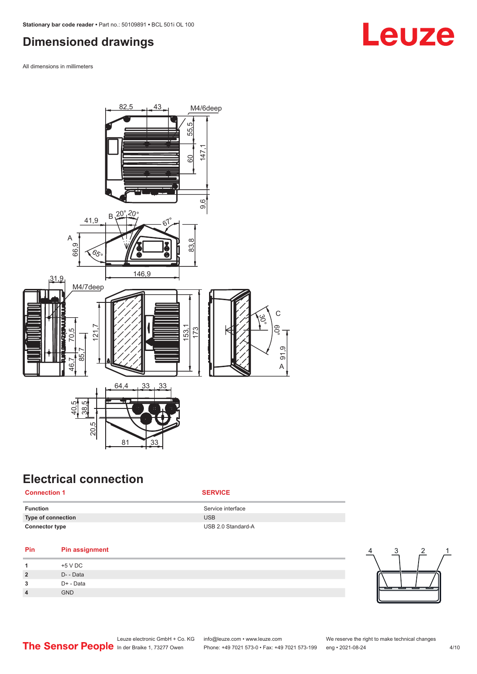## <span id="page-3-0"></span>**Dimensioned drawings**

All dimensions in millimeters



## **Electrical connection**

### **Connection 1 SERVICE**

| <b>Function</b>       | Service interface  |
|-----------------------|--------------------|
| Type of connection    | <b>USB</b>         |
| <b>Connector type</b> | USB 2.0 Standard-A |

### **Pin Pin assignment**

| $\overline{\mathbf{A}}$ | +5 V DC    |
|-------------------------|------------|
| $\overline{2}$          | D- - Data  |
| 3                       | D+ - Data  |
| $\overline{4}$          | <b>GND</b> |



# **Leuze**

|  |                                               | Leuze electronic GmbH + Co. KG info@leuze.com • www.leuze.com  | We reserve the right to make technical changes |  |
|--|-----------------------------------------------|----------------------------------------------------------------|------------------------------------------------|--|
|  | The Sensor People In der Braike 1, 73277 Owen | Phone: +49 7021 573-0 • Fax: +49 7021 573-199 eng • 2021-08-24 |                                                |  |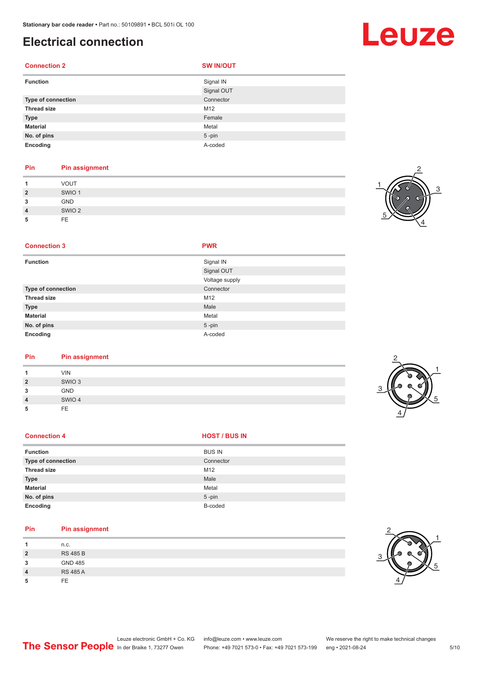## **Electrical connection**

### **Connection 2 SW IN/OUT**

| <b>Function</b>    | Signal IN  |
|--------------------|------------|
|                    | Signal OUT |
| Type of connection | Connector  |
| <b>Thread size</b> | M12        |
| <b>Type</b>        | Female     |
| <b>Material</b>    | Metal      |
| No. of pins        | $5$ -pin   |
| Encoding           | A-coded    |

### **Pin Pin assignment**

|                | <b>VOUT</b>       |
|----------------|-------------------|
| $\overline{2}$ | SWIO <sub>1</sub> |
| 3              | GND               |
| 4              | SWIO <sub>2</sub> |
| 5              | <b>FE</b>         |



### **Connection 3 PWR**

| <b>Function</b>    | Signal IN      |
|--------------------|----------------|
|                    | Signal OUT     |
|                    | Voltage supply |
| Type of connection | Connector      |
| <b>Thread size</b> | M12            |
| <b>Type</b>        | Male           |
| <b>Material</b>    | Metal          |
| No. of pins        | $5$ -pin       |
| Encoding           | A-coded        |

### **Pin Pin assignment**

|                | <b>VIN</b>        |  |  |
|----------------|-------------------|--|--|
| $\overline{2}$ | SWIO <sub>3</sub> |  |  |
| 3              | <b>GND</b>        |  |  |
| 4              | SWIO 4            |  |  |
| 5              | FE                |  |  |
|                |                   |  |  |

### **Connection 4 HOST** / BUS IN

| <b>Function</b>    | <b>BUS IN</b> |
|--------------------|---------------|
| Type of connection | Connector     |
| <b>Thread size</b> | M12           |
| <b>Type</b>        | Male          |
| <b>Material</b>    | Metal         |
| No. of pins        | $5$ -pin      |
| Encoding           | B-coded       |

### **Pin Pin assignment**

| 4              | n.c.            |
|----------------|-----------------|
| $\overline{2}$ | <b>RS 485 B</b> |
| 3              | <b>GND 485</b>  |
| $\overline{4}$ | <b>RS 485 A</b> |
| 5              | FF.             |



2

1

5



## Leuze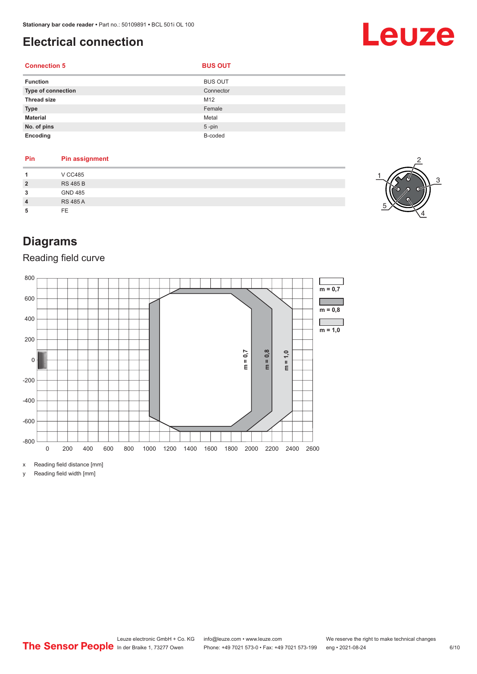## <span id="page-5-0"></span>**Electrical connection**

### **Connection 5 BUS OUT**

| ٧ | ۰. | ٠<br>M. |  |
|---|----|---------|--|
|   |    |         |  |

| <b>Function</b>    | <b>BUS OUT</b> |
|--------------------|----------------|
| Type of connection | Connector      |
| <b>Thread size</b> | M12            |
| <b>Type</b>        | Female         |
| <b>Material</b>    | Metal          |
| No. of pins        | $5$ -pin       |
| Encoding           | B-coded        |

| Pin            | <b>Pin assignment</b> |
|----------------|-----------------------|
| 1              | <b>V CC485</b>        |
| $\overline{2}$ | <b>RS 485 B</b>       |
| 3              | <b>GND 485</b>        |
| $\overline{4}$ | <b>RS 485 A</b>       |
| 5              | FE.                   |



Leuze

## **Diagrams**

### Reading field curve



x Reading field distance [mm]

y Reading field width [mm]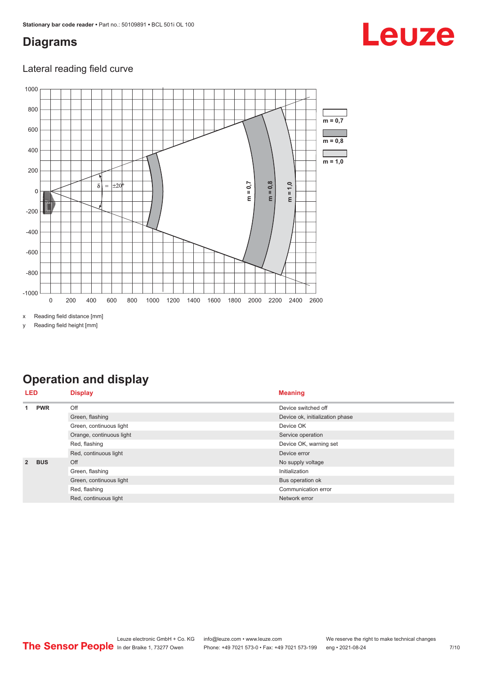## <span id="page-6-0"></span>**Diagrams**

## Leuze

### Lateral reading field curve



x Reading field distance [mm]

y Reading field height [mm]

## **Operation and display**

| <b>LED</b>     |            | <b>Display</b>           | <b>Meaning</b>                  |
|----------------|------------|--------------------------|---------------------------------|
| 1              | <b>PWR</b> | Off                      | Device switched off             |
|                |            | Green, flashing          | Device ok, initialization phase |
|                |            | Green, continuous light  | Device OK                       |
|                |            | Orange, continuous light | Service operation               |
|                |            | Red, flashing            | Device OK, warning set          |
|                |            | Red, continuous light    | Device error                    |
| $\overline{2}$ | <b>BUS</b> | Off                      | No supply voltage               |
|                |            | Green, flashing          | Initialization                  |
|                |            | Green, continuous light  | Bus operation ok                |
|                |            | Red, flashing            | Communication error             |
|                |            | Red, continuous light    | Network error                   |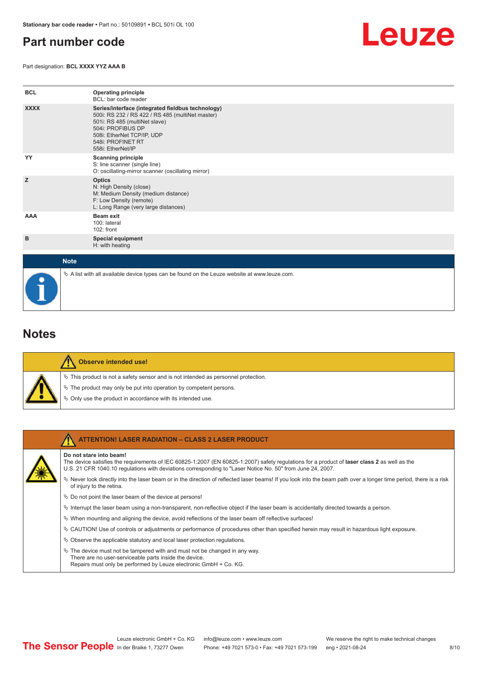## <span id="page-7-0"></span>**Part number code**

Part designation: **BCL XXXX YYZ AAA B**



| <b>BCL</b>  | <b>Operating principle</b><br>BCL: bar code reader                                                                                                                                                                                  |
|-------------|-------------------------------------------------------------------------------------------------------------------------------------------------------------------------------------------------------------------------------------|
| <b>XXXX</b> | Series/interface (integrated fieldbus technology)<br>500i: RS 232 / RS 422 / RS 485 (multiNet master)<br>501i: RS 485 (multiNet slave)<br>504i: PROFIBUS DP<br>508i: EtherNet TCP/IP, UDP<br>548i: PROFINET RT<br>558i: EtherNet/IP |
| YY          | <b>Scanning principle</b><br>S: line scanner (single line)<br>O: oscillating-mirror scanner (oscillating mirror)                                                                                                                    |
| z           | <b>Optics</b><br>N: High Density (close)<br>M: Medium Density (medium distance)<br>F: Low Density (remote)<br>L: Long Range (very large distances)                                                                                  |
| AAA         | <b>Beam exit</b><br>100: lateral<br>102: front                                                                                                                                                                                      |
| в           | <b>Special equipment</b><br>H: with heating                                                                                                                                                                                         |
| <b>Note</b> |                                                                                                                                                                                                                                     |

## **Notes**

| Observe intended use!                                                                 |
|---------------------------------------------------------------------------------------|
| $\%$ This product is not a safety sensor and is not intended as personnel protection. |
| $\&$ The product may only be put into operation by competent persons.                 |
| ♦ Only use the product in accordance with its intended use.                           |

 $\%$  A list with all available device types can be found on the Leuze website at www.leuze.com.

| <b>ATTENTION! LASER RADIATION - CLASS 2 LASER PRODUCT</b>                                                                                                                                                                                                                             |
|---------------------------------------------------------------------------------------------------------------------------------------------------------------------------------------------------------------------------------------------------------------------------------------|
| Do not stare into beam!<br>The device satisfies the requirements of IEC 60825-1:2007 (EN 60825-1:2007) safety requiations for a product of laser class 2 as well as the<br>U.S. 21 CFR 1040.10 regulations with deviations corresponding to "Laser Notice No. 50" from June 24, 2007. |
| $\%$ Never look directly into the laser beam or in the direction of reflected laser beams! If you look into the beam path over a longer time period, there is a risk<br>of injury to the retina.                                                                                      |
| $\%$ Do not point the laser beam of the device at persons!                                                                                                                                                                                                                            |
| Interrupt the laser beam using a non-transparent, non-reflective object if the laser beam is accidentally directed towards a person.                                                                                                                                                  |
| $\%$ When mounting and aligning the device, avoid reflections of the laser beam off reflective surfaces!                                                                                                                                                                              |
| $\%$ CAUTION! Use of controls or adjustments or performance of procedures other than specified herein may result in hazardous light exposure.                                                                                                                                         |
| $\%$ Observe the applicable statutory and local laser protection regulations.                                                                                                                                                                                                         |
| $\ddot{\varphi}$ The device must not be tampered with and must not be changed in any way.<br>There are no user-serviceable parts inside the device.<br>Repairs must only be performed by Leuze electronic GmbH + Co. KG.                                                              |

8/10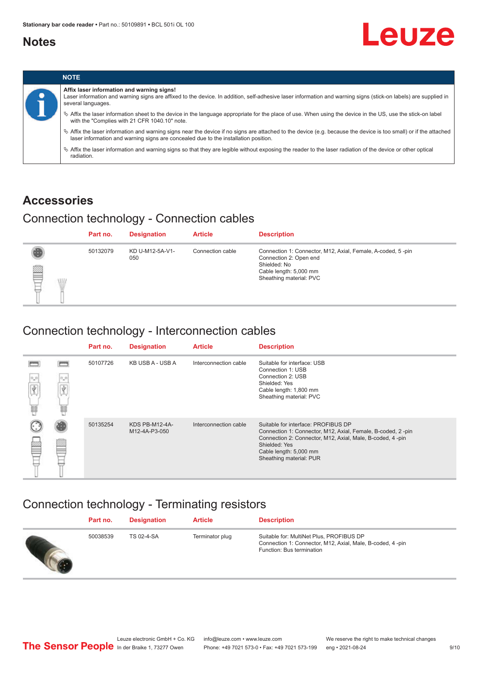### <span id="page-8-0"></span>**Notes**

# Leuze



### **Accessories**

## Connection technology - Connection cables

|             | Part no. | <b>Designation</b>     | <b>Article</b>   | <b>Description</b>                                                                                                                                         |
|-------------|----------|------------------------|------------------|------------------------------------------------------------------------------------------------------------------------------------------------------------|
| ▌<br>W<br>⊢ | 50132079 | KD U-M12-5A-V1-<br>050 | Connection cable | Connection 1: Connector, M12, Axial, Female, A-coded, 5-pin<br>Connection 2: Open end<br>Shielded: No<br>Cable length: 5,000 mm<br>Sheathing material: PVC |

### Connection technology - Interconnection cables

|                  |                      | Part no. | <b>Designation</b>              | <b>Article</b>        | <b>Description</b>                                                                                                                                                                                                                    |
|------------------|----------------------|----------|---------------------------------|-----------------------|---------------------------------------------------------------------------------------------------------------------------------------------------------------------------------------------------------------------------------------|
| $\sigma_{\rm m}$ | $\circ$ $\circ$<br>島 | 50107726 | KB USB A - USB A                | Interconnection cable | Suitable for interface: USB<br>Connection 1: USB<br>Connection 2: USB<br>Shielded: Yes<br>Cable length: 1,800 mm<br>Sheathing material: PVC                                                                                           |
|                  |                      | 50135254 | KDS PB-M12-4A-<br>M12-4A-P3-050 | Interconnection cable | Suitable for interface: PROFIBUS DP<br>Connection 1: Connector, M12, Axial, Female, B-coded, 2-pin<br>Connection 2: Connector, M12, Axial, Male, B-coded, 4-pin<br>Shielded: Yes<br>Cable length: 5,000 mm<br>Sheathing material: PUR |

## Connection technology - Terminating resistors

| Part no. | <b>Designation</b> | <b>Article</b>  | <b>Description</b>                                                                                                                 |
|----------|--------------------|-----------------|------------------------------------------------------------------------------------------------------------------------------------|
| 50038539 | <b>TS 02-4-SA</b>  | Terminator plug | Suitable for: MultiNet Plus, PROFIBUS DP<br>Connection 1: Connector, M12, Axial, Male, B-coded, 4-pin<br>Function: Bus termination |